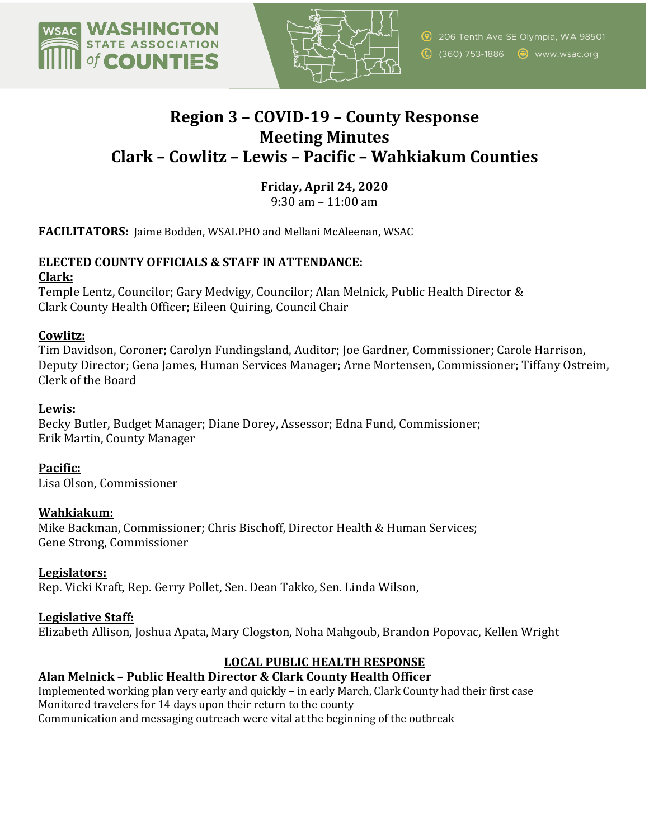



# **Region 3 – COVID-19 – County Response Meeting Minutes Clark – Cowlitz – Lewis – Pacific – Wahkiakum Counties**

**Friday, April 24, 2020** 9:30 am – 11:00 am

**FACILITATORS:** Jaime Bodden, WSALPHO and Mellani McAleenan, WSAC

# **ELECTED COUNTY OFFICIALS & STAFF IN ATTENDANCE:**

## **Clark:**

Temple Lentz, Councilor; Gary Medvigy, Councilor; Alan Melnick, Public Health Director & Clark County Health Officer; Eileen Quiring, Council Chair

# **Cowlitz:**

Tim Davidson, Coroner; Carolyn Fundingsland, Auditor; Joe Gardner, Commissioner; Carole Harrison, Deputy Director; Gena James, Human Services Manager; Arne Mortensen, Commissioner; Tiffany Ostreim, Clerk of the Board

# **Lewis:**

Becky Butler, Budget Manager; Diane Dorey, Assessor; Edna Fund, Commissioner; Erik Martin, County Manager

**Pacific:** Lisa Olson, Commissioner

# **Wahkiakum:**

Mike Backman, Commissioner; Chris Bischoff, Director Health & Human Services; Gene Strong, Commissioner

## **Legislators:**

Rep. Vicki Kraft, Rep. Gerry Pollet, Sen. Dean Takko, Sen. Linda Wilson,

# **Legislative Staff:**

Elizabeth Allison, Joshua Apata, Mary Clogston, Noha Mahgoub, Brandon Popovac, Kellen Wright

## **LOCAL PUBLIC HEALTH RESPONSE**

## **Alan Melnick – Public Health Director & Clark County Health Officer**

Implemented working plan very early and quickly – in early March, Clark County had their first case Monitored travelers for 14 days upon their return to the county Communication and messaging outreach were vital at the beginning of the outbreak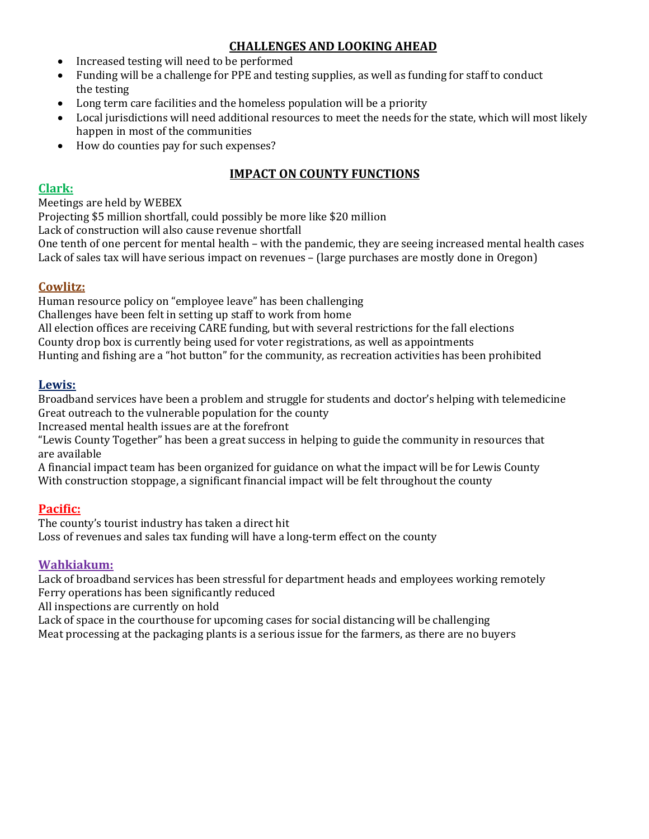# **CHALLENGES AND LOOKING AHEAD**

- Increased testing will need to be performed
- Funding will be a challenge for PPE and testing supplies, as well as funding for staff to conduct the testing
- Long term care facilities and the homeless population will be a priority
- Local jurisdictions will need additional resources to meet the needs for the state, which will most likely happen in most of the communities
- How do counties pay for such expenses?

## **IMPACT ON COUNTY FUNCTIONS**

#### **Clark:**

#### Meetings are held by WEBEX

Projecting \$5 million shortfall, could possibly be more like \$20 million

Lack of construction will also cause revenue shortfall

One tenth of one percent for mental health – with the pandemic, they are seeing increased mental health cases Lack of sales tax will have serious impact on revenues – (large purchases are mostly done in Oregon)

## **Cowlitz:**

Human resource policy on "employee leave" has been challenging

Challenges have been felt in setting up staff to work from home

All election offices are receiving CARE funding, but with several restrictions for the fall elections

County drop box is currently being used for voter registrations, as well as appointments

Hunting and fishing are a "hot button" for the community, as recreation activities has been prohibited

#### **Lewis:**

Broadband services have been a problem and struggle for students and doctor's helping with telemedicine Great outreach to the vulnerable population for the county

Increased mental health issues are at the forefront

"Lewis County Together" has been a great success in helping to guide the community in resources that are available

A financial impact team has been organized for guidance on what the impact will be for Lewis County With construction stoppage, a significant financial impact will be felt throughout the county

## **Pacific:**

The county's tourist industry has taken a direct hit Loss of revenues and sales tax funding will have a long-term effect on the county

## **Wahkiakum:**

Lack of broadband services has been stressful for department heads and employees working remotely Ferry operations has been significantly reduced

All inspections are currently on hold

Lack of space in the courthouse for upcoming cases for social distancing will be challenging Meat processing at the packaging plants is a serious issue for the farmers, as there are no buyers